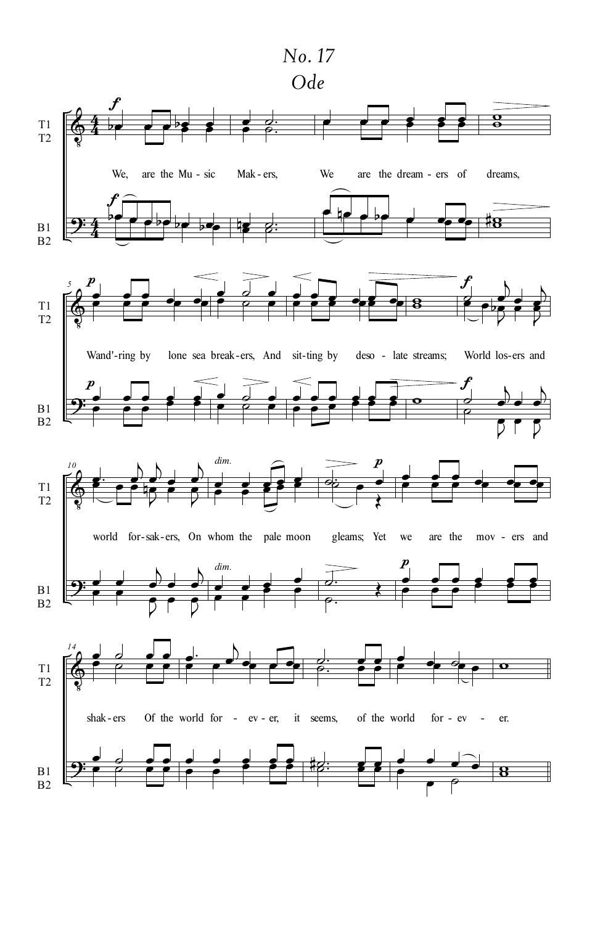